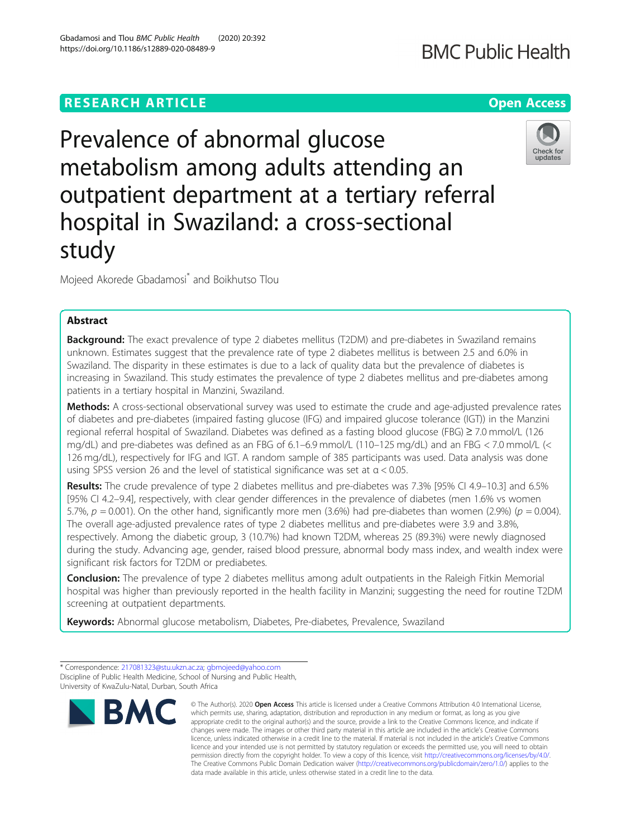# **RESEARCH ARTICLE Example 2014 12:30 The Contract of Contract ACCESS**

Prevalence of abnormal glucose metabolism among adults attending an outpatient department at a tertiary referral hospital in Swaziland: a cross-sectional study

Mojeed Akorede Gbadamosi\* and Boikhutso Tlou

# Abstract

**Background:** The exact prevalence of type 2 diabetes mellitus (T2DM) and pre-diabetes in Swaziland remains unknown. Estimates suggest that the prevalence rate of type 2 diabetes mellitus is between 2.5 and 6.0% in Swaziland. The disparity in these estimates is due to a lack of quality data but the prevalence of diabetes is increasing in Swaziland. This study estimates the prevalence of type 2 diabetes mellitus and pre-diabetes among patients in a tertiary hospital in Manzini, Swaziland.

Methods: A cross-sectional observational survey was used to estimate the crude and age-adjusted prevalence rates of diabetes and pre-diabetes (impaired fasting glucose (IFG) and impaired glucose tolerance (IGT)) in the Manzini regional referral hospital of Swaziland. Diabetes was defined as a fasting blood glucose (FBG) ≥ 7.0 mmol/L (126 mg/dL) and pre-diabetes was defined as an FBG of 6.1–6.9 mmol/L (110–125 mg/dL) and an FBG < 7.0 mmol/L (< 126 mg/dL), respectively for IFG and IGT. A random sample of 385 participants was used. Data analysis was done using SPSS version 26 and the level of statistical significance was set at  $\alpha$  < 0.05.

Results: The crude prevalence of type 2 diabetes mellitus and pre-diabetes was 7.3% [95% CI 4.9–10.3] and 6.5% [95% CI 4.2–9.4], respectively, with clear gender differences in the prevalence of diabetes (men 1.6% vs women 5.7%,  $p = 0.001$ ). On the other hand, significantly more men (3.6%) had pre-diabetes than women (2.9%) ( $p = 0.004$ ). The overall age-adjusted prevalence rates of type 2 diabetes mellitus and pre-diabetes were 3.9 and 3.8%, respectively. Among the diabetic group, 3 (10.7%) had known T2DM, whereas 25 (89.3%) were newly diagnosed during the study. Advancing age, gender, raised blood pressure, abnormal body mass index, and wealth index were significant risk factors for T2DM or prediabetes.

Conclusion: The prevalence of type 2 diabetes mellitus among adult outpatients in the Raleigh Fitkin Memorial hospital was higher than previously reported in the health facility in Manzini; suggesting the need for routine T2DM screening at outpatient departments.

data made available in this article, unless otherwise stated in a credit line to the data.

Keywords: Abnormal glucose metabolism, Diabetes, Pre-diabetes, Prevalence, Swaziland



<sup>©</sup> The Author(s), 2020 **Open Access** This article is licensed under a Creative Commons Attribution 4.0 International License, which permits use, sharing, adaptation, distribution and reproduction in any medium or format, as long as you give appropriate credit to the original author(s) and the source, provide a link to the Creative Commons licence, and indicate if changes were made. The images or other third party material in this article are included in the article's Creative Commons licence, unless indicated otherwise in a credit line to the material. If material is not included in the article's Creative Commons licence and your intended use is not permitted by statutory regulation or exceeds the permitted use, you will need to obtain permission directly from the copyright holder. To view a copy of this licence, visit [http://creativecommons.org/licenses/by/4.0/.](http://creativecommons.org/licenses/by/4.0/) The Creative Commons Public Domain Dedication waiver [\(http://creativecommons.org/publicdomain/zero/1.0/](http://creativecommons.org/publicdomain/zero/1.0/)) applies to the

updates

**BMC Public Health** 

<sup>\*</sup> Correspondence: [217081323@stu.ukzn.ac.za;](mailto:217081323@stu.ukzn.ac.za) [gbmojeed@yahoo.com](mailto:gbmojeed@yahoo.com) Discipline of Public Health Medicine, School of Nursing and Public Health, University of KwaZulu-Natal, Durban, South Africa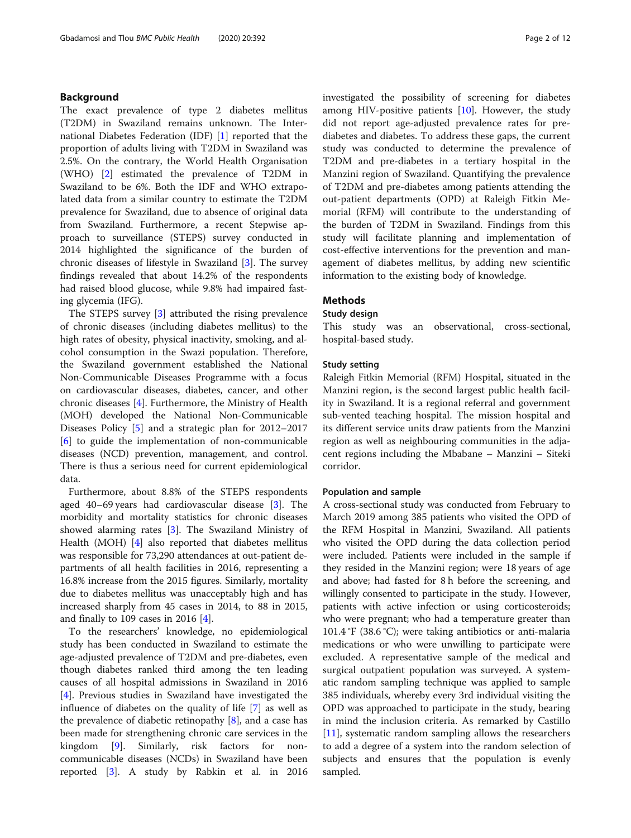# Background

The exact prevalence of type 2 diabetes mellitus (T2DM) in Swaziland remains unknown. The International Diabetes Federation (IDF) [[1\]](#page-10-0) reported that the proportion of adults living with T2DM in Swaziland was 2.5%. On the contrary, the World Health Organisation (WHO) [[2\]](#page-10-0) estimated the prevalence of T2DM in Swaziland to be 6%. Both the IDF and WHO extrapolated data from a similar country to estimate the T2DM prevalence for Swaziland, due to absence of original data from Swaziland. Furthermore, a recent Stepwise approach to surveillance (STEPS) survey conducted in 2014 highlighted the significance of the burden of chronic diseases of lifestyle in Swaziland [\[3](#page-10-0)]. The survey findings revealed that about 14.2% of the respondents had raised blood glucose, while 9.8% had impaired fasting glycemia (IFG).

The STEPS survey [[3\]](#page-10-0) attributed the rising prevalence of chronic diseases (including diabetes mellitus) to the high rates of obesity, physical inactivity, smoking, and alcohol consumption in the Swazi population. Therefore, the Swaziland government established the National Non-Communicable Diseases Programme with a focus on cardiovascular diseases, diabetes, cancer, and other chronic diseases [[4\]](#page-10-0). Furthermore, the Ministry of Health (MOH) developed the National Non-Communicable Diseases Policy [[5](#page-10-0)] and a strategic plan for 2012–2017 [[6\]](#page-10-0) to guide the implementation of non-communicable diseases (NCD) prevention, management, and control. There is thus a serious need for current epidemiological data.

Furthermore, about 8.8% of the STEPS respondents aged 40–69 years had cardiovascular disease [\[3](#page-10-0)]. The morbidity and mortality statistics for chronic diseases showed alarming rates [[3\]](#page-10-0). The Swaziland Ministry of Health (MOH) [\[4](#page-10-0)] also reported that diabetes mellitus was responsible for 73,290 attendances at out-patient departments of all health facilities in 2016, representing a 16.8% increase from the 2015 figures. Similarly, mortality due to diabetes mellitus was unacceptably high and has increased sharply from 45 cases in 2014, to 88 in 2015, and finally to 109 cases in 2016  $[4]$  $[4]$  $[4]$ .

To the researchers' knowledge, no epidemiological study has been conducted in Swaziland to estimate the age-adjusted prevalence of T2DM and pre-diabetes, even though diabetes ranked third among the ten leading causes of all hospital admissions in Swaziland in 2016 [[4\]](#page-10-0). Previous studies in Swaziland have investigated the influence of diabetes on the quality of life [[7\]](#page-10-0) as well as the prevalence of diabetic retinopathy [\[8](#page-10-0)], and a case has been made for strengthening chronic care services in the kingdom [\[9\]](#page-10-0). Similarly, risk factors for noncommunicable diseases (NCDs) in Swaziland have been reported [[3\]](#page-10-0). A study by Rabkin et al. in 2016 investigated the possibility of screening for diabetes among HIV-positive patients [\[10\]](#page-10-0). However, the study did not report age-adjusted prevalence rates for prediabetes and diabetes. To address these gaps, the current study was conducted to determine the prevalence of T2DM and pre-diabetes in a tertiary hospital in the Manzini region of Swaziland. Quantifying the prevalence of T2DM and pre-diabetes among patients attending the out-patient departments (OPD) at Raleigh Fitkin Memorial (RFM) will contribute to the understanding of the burden of T2DM in Swaziland. Findings from this study will facilitate planning and implementation of cost-effective interventions for the prevention and management of diabetes mellitus, by adding new scientific information to the existing body of knowledge.

# Methods

#### Study design

This study was an observational, cross-sectional, hospital-based study.

# Study setting

Raleigh Fitkin Memorial (RFM) Hospital, situated in the Manzini region, is the second largest public health facility in Swaziland. It is a regional referral and government sub-vented teaching hospital. The mission hospital and its different service units draw patients from the Manzini region as well as neighbouring communities in the adjacent regions including the Mbabane – Manzini – Siteki corridor.

#### Population and sample

A cross-sectional study was conducted from February to March 2019 among 385 patients who visited the OPD of the RFM Hospital in Manzini, Swaziland. All patients who visited the OPD during the data collection period were included. Patients were included in the sample if they resided in the Manzini region; were 18 years of age and above; had fasted for 8 h before the screening, and willingly consented to participate in the study. However, patients with active infection or using corticosteroids; who were pregnant; who had a temperature greater than 101.4 °F (38.6 °C); were taking antibiotics or anti-malaria medications or who were unwilling to participate were excluded. A representative sample of the medical and surgical outpatient population was surveyed. A systematic random sampling technique was applied to sample 385 individuals, whereby every 3rd individual visiting the OPD was approached to participate in the study, bearing in mind the inclusion criteria. As remarked by Castillo [[11\]](#page-10-0), systematic random sampling allows the researchers to add a degree of a system into the random selection of subjects and ensures that the population is evenly sampled.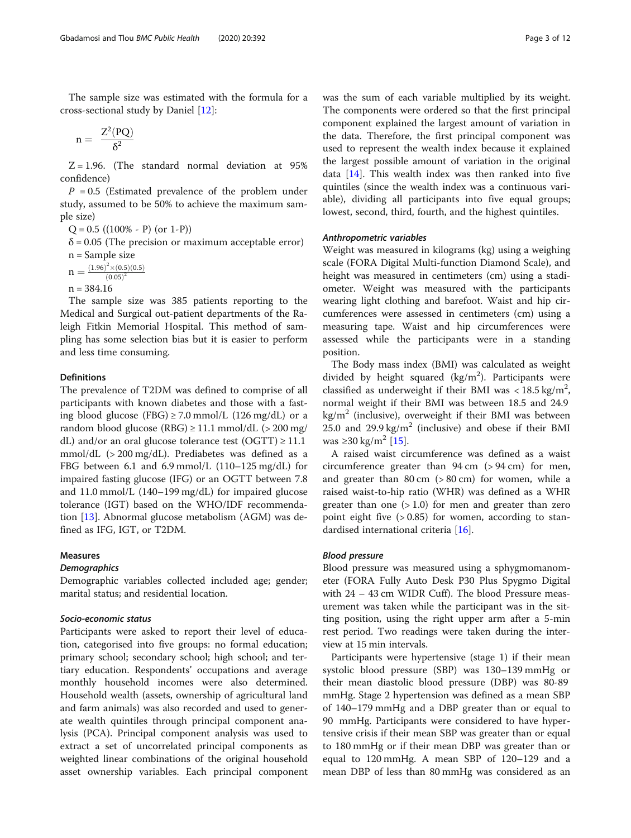The sample size was estimated with the formula for a cross-sectional study by Daniel [[12](#page-10-0)]:

$$
n=\ \frac{Z^2(PQ)}{\delta^2}
$$

 $Z = 1.96$ . (The standard normal deviation at 95% confidence)

 $P = 0.5$  (Estimated prevalence of the problem under study, assumed to be 50% to achieve the maximum sample size)

 $Q = 0.5 ((100\% - P) (or 1-P))$ 

 $\delta$  = 0.05 (The precision or maximum acceptable error) n = Sample size

 $n = \frac{(1.96)^2 \times (0.5)(0.5)}{(0.05)^2}$  $(0.05)^2$ 

 $n = 384.16$ 

The sample size was 385 patients reporting to the Medical and Surgical out-patient departments of the Raleigh Fitkin Memorial Hospital. This method of sampling has some selection bias but it is easier to perform and less time consuming.

## **Definitions**

The prevalence of T2DM was defined to comprise of all participants with known diabetes and those with a fasting blood glucose (FBG)  $\geq$  7.0 mmol/L (126 mg/dL) or a random blood glucose (RBG)  $\geq$  11.1 mmol/dL ( $>$  200 mg/ dL) and/or an oral glucose tolerance test (OGTT)  $\geq$  11.1 mmol/dL (> 200 mg/dL). Prediabetes was defined as a FBG between 6.1 and 6.9 mmol/L (110–125 mg/dL) for impaired fasting glucose (IFG) or an OGTT between 7.8 and 11.0 mmol/L (140–199 mg/dL) for impaired glucose tolerance (IGT) based on the WHO/IDF recommendation [\[13](#page-10-0)]. Abnormal glucose metabolism (AGM) was defined as IFG, IGT, or T2DM.

# Measures

# **Demographics**

Demographic variables collected included age; gender; marital status; and residential location.

# Socio-economic status

Participants were asked to report their level of education, categorised into five groups: no formal education; primary school; secondary school; high school; and tertiary education. Respondents' occupations and average monthly household incomes were also determined. Household wealth (assets, ownership of agricultural land and farm animals) was also recorded and used to generate wealth quintiles through principal component analysis (PCA). Principal component analysis was used to extract a set of uncorrelated principal components as weighted linear combinations of the original household asset ownership variables. Each principal component was the sum of each variable multiplied by its weight. The components were ordered so that the first principal component explained the largest amount of variation in the data. Therefore, the first principal component was used to represent the wealth index because it explained the largest possible amount of variation in the original data [\[14](#page-10-0)]. This wealth index was then ranked into five quintiles (since the wealth index was a continuous variable), dividing all participants into five equal groups; lowest, second, third, fourth, and the highest quintiles.

## Anthropometric variables

Weight was measured in kilograms (kg) using a weighing scale (FORA Digital Multi-function Diamond Scale), and height was measured in centimeters (cm) using a stadiometer. Weight was measured with the participants wearing light clothing and barefoot. Waist and hip circumferences were assessed in centimeters (cm) using a measuring tape. Waist and hip circumferences were assessed while the participants were in a standing position.

The Body mass index (BMI) was calculated as weight divided by height squared  $(kg/m^2)$ . Participants were classified as underweight if their BMI was <  $18.5 \text{ kg/m}^2$ , normal weight if their BMI was between 18.5 and 24.9  $kg/m<sup>2</sup>$  (inclusive), overweight if their BMI was between 25.0 and 29.9 kg/m<sup>2</sup> (inclusive) and obese if their BMI was ≥30 kg/m<sup>2</sup> [\[15\]](#page-10-0).

A raised waist circumference was defined as a waist circumference greater than  $94 \text{ cm}$  ( $> 94 \text{ cm}$ ) for men, and greater than  $80 \text{ cm}$  ( $> 80 \text{ cm}$ ) for women, while a raised waist-to-hip ratio (WHR) was defined as a WHR greater than one  $(>1.0)$  for men and greater than zero point eight five  $(> 0.85)$  for women, according to standardised international criteria [\[16](#page-10-0)].

## Blood pressure

Blood pressure was measured using a sphygmomanometer (FORA Fully Auto Desk P30 Plus Spygmo Digital with 24 – 43 cm WIDR Cuff). The blood Pressure measurement was taken while the participant was in the sitting position, using the right upper arm after a 5-min rest period. Two readings were taken during the interview at 15 min intervals.

Participants were hypertensive (stage 1) if their mean systolic blood pressure (SBP) was 130–139 mmHg or their mean diastolic blood pressure (DBP) was 80-89 mmHg. Stage 2 hypertension was defined as a mean SBP of 140–179 mmHg and a DBP greater than or equal to 90 mmHg. Participants were considered to have hypertensive crisis if their mean SBP was greater than or equal to 180 mmHg or if their mean DBP was greater than or equal to 120 mmHg. A mean SBP of 120–129 and a mean DBP of less than 80 mmHg was considered as an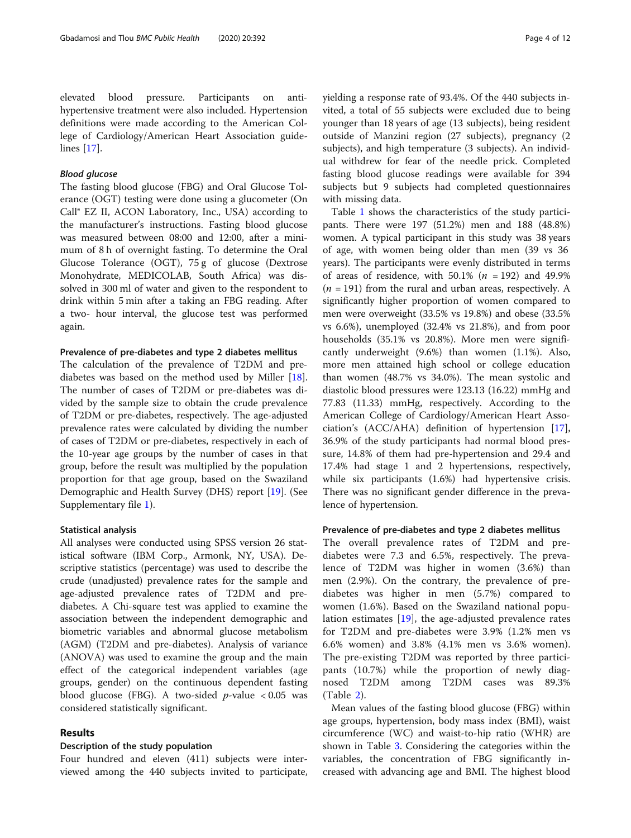# Blood glucose

The fasting blood glucose (FBG) and Oral Glucose Tolerance (OGT) testing were done using a glucometer (On Call® EZ II, ACON Laboratory, Inc., USA) according to the manufacturer's instructions. Fasting blood glucose was measured between 08:00 and 12:00, after a minimum of 8 h of overnight fasting. To determine the Oral Glucose Tolerance (OGT), 75 g of glucose (Dextrose Monohydrate, MEDICOLAB, South Africa) was dissolved in 300 ml of water and given to the respondent to drink within 5 min after a taking an FBG reading. After a two- hour interval, the glucose test was performed again.

## Prevalence of pre-diabetes and type 2 diabetes mellitus

The calculation of the prevalence of T2DM and prediabetes was based on the method used by Miller [\[18](#page-10-0)]. The number of cases of T2DM or pre-diabetes was divided by the sample size to obtain the crude prevalence of T2DM or pre-diabetes, respectively. The age-adjusted prevalence rates were calculated by dividing the number of cases of T2DM or pre-diabetes, respectively in each of the 10-year age groups by the number of cases in that group, before the result was multiplied by the population proportion for that age group, based on the Swaziland Demographic and Health Survey (DHS) report [\[19](#page-10-0)]. (See Supplementary file [1](#page-9-0)).

#### Statistical analysis

All analyses were conducted using SPSS version 26 statistical software (IBM Corp., Armonk, NY, USA). Descriptive statistics (percentage) was used to describe the crude (unadjusted) prevalence rates for the sample and age-adjusted prevalence rates of T2DM and prediabetes. A Chi-square test was applied to examine the association between the independent demographic and biometric variables and abnormal glucose metabolism (AGM) (T2DM and pre-diabetes). Analysis of variance (ANOVA) was used to examine the group and the main effect of the categorical independent variables (age groups, gender) on the continuous dependent fasting blood glucose (FBG). A two-sided  $p$ -value < 0.05 was considered statistically significant.

## Results

## Description of the study population

Four hundred and eleven (411) subjects were interviewed among the 440 subjects invited to participate, yielding a response rate of 93.4%. Of the 440 subjects invited, a total of 55 subjects were excluded due to being younger than 18 years of age (13 subjects), being resident outside of Manzini region (27 subjects), pregnancy (2 subjects), and high temperature (3 subjects). An individual withdrew for fear of the needle prick. Completed fasting blood glucose readings were available for 394 subjects but 9 subjects had completed questionnaires with missing data.

Table [1](#page-4-0) shows the characteristics of the study participants. There were 197 (51.2%) men and 188 (48.8%) women. A typical participant in this study was 38 years of age, with women being older than men (39 vs 36 years). The participants were evenly distributed in terms of areas of residence, with  $50.1\%$  ( $n = 192$ ) and  $49.9\%$  $(n = 191)$  from the rural and urban areas, respectively. A significantly higher proportion of women compared to men were overweight (33.5% vs 19.8%) and obese (33.5% vs 6.6%), unemployed (32.4% vs 21.8%), and from poor households (35.1% vs 20.8%). More men were significantly underweight (9.6%) than women (1.1%). Also, more men attained high school or college education than women (48.7% vs 34.0%). The mean systolic and diastolic blood pressures were 123.13 (16.22) mmHg and 77.83 (11.33) mmHg, respectively. According to the American College of Cardiology/American Heart Association's (ACC/AHA) definition of hypertension [\[17](#page-10-0)], 36.9% of the study participants had normal blood pressure, 14.8% of them had pre-hypertension and 29.4 and 17.4% had stage 1 and 2 hypertensions, respectively, while six participants (1.6%) had hypertensive crisis. There was no significant gender difference in the prevalence of hypertension.

#### Prevalence of pre-diabetes and type 2 diabetes mellitus

The overall prevalence rates of T2DM and prediabetes were 7.3 and 6.5%, respectively. The prevalence of T2DM was higher in women (3.6%) than men (2.9%). On the contrary, the prevalence of prediabetes was higher in men (5.7%) compared to women (1.6%). Based on the Swaziland national population estimates [\[19](#page-10-0)], the age-adjusted prevalence rates for T2DM and pre-diabetes were 3.9% (1.2% men vs 6.6% women) and 3.8% (4.1% men vs 3.6% women). The pre-existing T2DM was reported by three participants (10.7%) while the proportion of newly diagnosed T2DM among T2DM cases was 89.3% (Table [2](#page-5-0)).

Mean values of the fasting blood glucose (FBG) within age groups, hypertension, body mass index (BMI), waist circumference (WC) and waist-to-hip ratio (WHR) are shown in Table [3](#page-6-0). Considering the categories within the variables, the concentration of FBG significantly increased with advancing age and BMI. The highest blood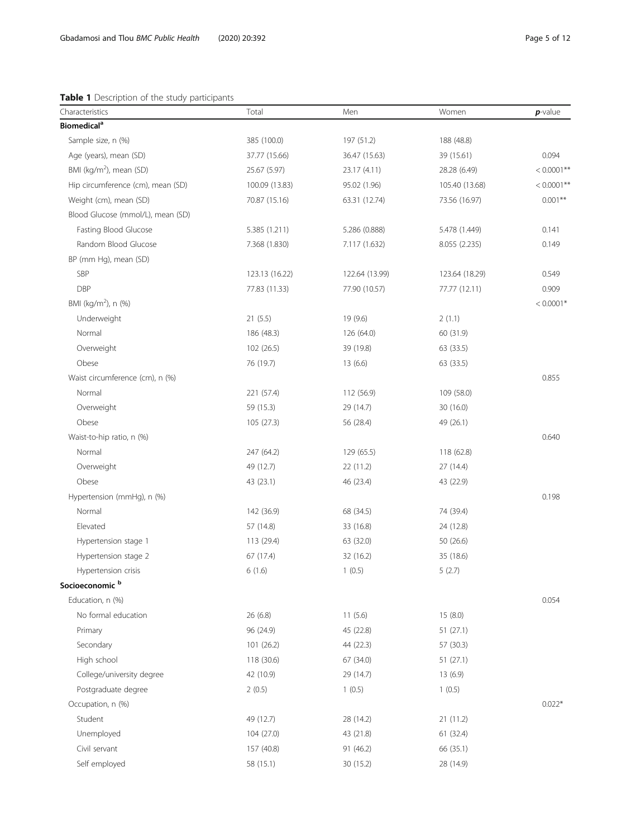# <span id="page-4-0"></span>Table 1 Description of the study participants

| Characteristics                     | Total          | Men            | Women          | $p$ -value    |
|-------------------------------------|----------------|----------------|----------------|---------------|
| <b>Biomedical<sup>a</sup></b>       |                |                |                |               |
| Sample size, n (%)                  | 385 (100.0)    | 197 (51.2)     | 188 (48.8)     |               |
| Age (years), mean (SD)              | 37.77 (15.66)  | 36.47 (15.63)  | 39 (15.61)     | 0.094         |
| BMI (kg/m <sup>2</sup> ), mean (SD) | 25.67 (5.97)   | 23.17 (4.11)   | 28.28 (6.49)   | $< 0.0001$ ** |
| Hip circumference (cm), mean (SD)   | 100.09 (13.83) | 95.02 (1.96)   | 105.40 (13.68) | $< 0.0001$ ** |
| Weight (cm), mean (SD)              | 70.87 (15.16)  | 63.31 (12.74)  | 73.56 (16.97)  | $0.001**$     |
| Blood Glucose (mmol/L), mean (SD)   |                |                |                |               |
| Fasting Blood Glucose               | 5.385 (1.211)  | 5.286 (0.888)  | 5.478 (1.449)  | 0.141         |
| Random Blood Glucose                | 7.368 (1.830)  | 7.117 (1.632)  | 8.055 (2.235)  | 0.149         |
| BP (mm Hg), mean (SD)               |                |                |                |               |
| SBP                                 | 123.13 (16.22) | 122.64 (13.99) | 123.64 (18.29) | 0.549         |
| <b>DBP</b>                          | 77.83 (11.33)  | 77.90 (10.57)  | 77.77 (12.11)  | 0.909         |
| BMI (kg/m <sup>2</sup> ), n (%)     |                |                |                | $< 0.0001*$   |
| Underweight                         | 21(5.5)        | 19 (9.6)       | 2(1.1)         |               |
| Normal                              | 186 (48.3)     | 126 (64.0)     | 60 (31.9)      |               |
| Overweight                          | 102 (26.5)     | 39 (19.8)      | 63 (33.5)      |               |
| Obese                               | 76 (19.7)      | 13(6.6)        | 63 (33.5)      |               |
| Waist circumference (cm), n (%)     |                |                |                | 0.855         |
| Normal                              | 221 (57.4)     | 112 (56.9)     | 109 (58.0)     |               |
| Overweight                          | 59 (15.3)      | 29 (14.7)      | 30 (16.0)      |               |
| Obese                               | 105 (27.3)     | 56 (28.4)      | 49 (26.1)      |               |
| Waist-to-hip ratio, n (%)           |                |                |                | 0.640         |
| Normal                              | 247 (64.2)     | 129 (65.5)     | 118 (62.8)     |               |
| Overweight                          | 49 (12.7)      | 22 (11.2)      | 27 (14.4)      |               |
| Obese                               | 43 (23.1)      | 46 (23.4)      | 43 (22.9)      |               |
| Hypertension (mmHg), n (%)          |                |                |                | 0.198         |
| Normal                              | 142 (36.9)     | 68 (34.5)      | 74 (39.4)      |               |
| Elevated                            | 57 (14.8)      | 33 (16.8)      | 24 (12.8)      |               |
| Hypertension stage 1                | 113 (29.4)     | 63 (32.0)      | 50 (26.6)      |               |
| Hypertension stage 2                | 67 (17.4)      | 32 (16.2)      | 35 (18.6)      |               |
| Hypertension crisis                 | 6(1.6)         | 1(0.5)         | 5(2.7)         |               |
| Socioeconomic <sup>b</sup>          |                |                |                |               |
| Education, n (%)                    |                |                |                | 0.054         |
| No formal education                 | 26 (6.8)       | 11(5.6)        | 15(8.0)        |               |
| Primary                             | 96 (24.9)      | 45 (22.8)      | 51(27.1)       |               |
| Secondary                           | 101 (26.2)     | 44 (22.3)      | 57 (30.3)      |               |
| High school                         | 118 (30.6)     | 67 (34.0)      | 51(27.1)       |               |
| College/university degree           | 42 (10.9)      | 29 (14.7)      | 13(6.9)        |               |
| Postgraduate degree                 | 2(0.5)         | 1(0.5)         | 1(0.5)         |               |
| Occupation, n (%)                   |                |                |                | $0.022*$      |
| Student                             | 49 (12.7)      | 28 (14.2)      | 21(11.2)       |               |
| Unemployed                          | 104 (27.0)     | 43 (21.8)      | 61 (32.4)      |               |
| Civil servant                       | 157 (40.8)     | 91 (46.2)      | 66 (35.1)      |               |
| Self employed                       | 58 (15.1)      | 30 (15.2)      | 28 (14.9)      |               |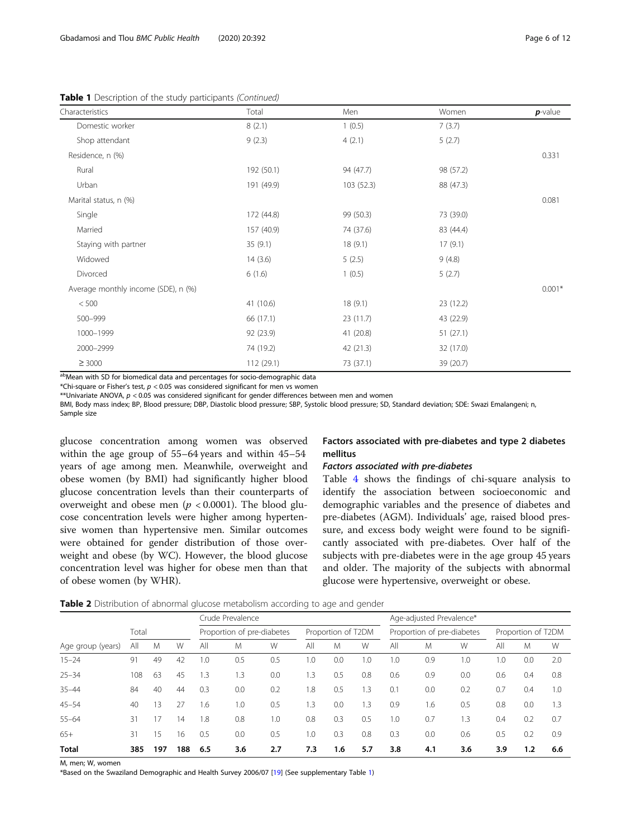<span id="page-5-0"></span>Table 1 Description of the study participants (Continued)

| Characteristics                     | Total      | Men        | Women     | $p$ -value |
|-------------------------------------|------------|------------|-----------|------------|
| Domestic worker                     | 8(2.1)     | 1(0.5)     | 7(3.7)    |            |
| Shop attendant                      | 9(2.3)     | 4(2.1)     | 5(2.7)    |            |
| Residence, n (%)                    |            |            |           | 0.331      |
| Rural                               | 192 (50.1) | 94 (47.7)  | 98 (57.2) |            |
| Urban                               | 191 (49.9) | 103 (52.3) | 88 (47.3) |            |
| Marital status, n (%)               |            |            |           | 0.081      |
| Single                              | 172 (44.8) | 99 (50.3)  | 73 (39.0) |            |
| Married                             | 157 (40.9) | 74 (37.6)  | 83 (44.4) |            |
| Staying with partner                | 35(9.1)    | 18(9.1)    | 17(9.1)   |            |
| Widowed                             | 14(3.6)    | 5(2.5)     | 9(4.8)    |            |
| Divorced                            | 6(1.6)     | 1(0.5)     | 5(2.7)    |            |
| Average monthly income (SDE), n (%) |            |            |           | $0.001*$   |
| < 500                               | 41 (10.6)  | 18(9.1)    | 23(12.2)  |            |
| 500-999                             | 66 (17.1)  | 23(11.7)   | 43 (22.9) |            |
| 1000-1999                           | 92 (23.9)  | 41 (20.8)  | 51(27.1)  |            |
| 2000-2999                           | 74 (19.2)  | 42 (21.3)  | 32 (17.0) |            |
| $\geq 3000$                         | 112 (29.1) | 73 (37.1)  | 39 (20.7) |            |

abMean with SD for biomedical data and percentages for socio-demographic data

\*Chi-square or Fisher's test,  $p < 0.05$  was considered significant for men vs women

\*\*Univariate ANOVA, p < 0.05 was considered significant for gender differences between men and women

BMI, Body mass index; BP, Blood pressure; DBP, Diastolic blood pressure; SBP, Systolic blood pressure; SD, Standard deviation; SDE: Swazi Emalangeni; n, Sample size

glucose concentration among women was observed within the age group of 55–64 years and within 45–54 years of age among men. Meanwhile, overweight and obese women (by BMI) had significantly higher blood glucose concentration levels than their counterparts of overweight and obese men ( $p < 0.0001$ ). The blood glucose concentration levels were higher among hypertensive women than hypertensive men. Similar outcomes were obtained for gender distribution of those overweight and obese (by WC). However, the blood glucose concentration level was higher for obese men than that of obese women (by WHR).

Factors associated with pre-diabetes and type 2 diabetes mellitus

#### Factors associated with pre-diabetes

Table [4](#page-7-0) shows the findings of chi-square analysis to identify the association between socioeconomic and demographic variables and the presence of diabetes and pre-diabetes (AGM). Individuals' age, raised blood pressure, and excess body weight were found to be significantly associated with pre-diabetes. Over half of the subjects with pre-diabetes were in the age group 45 years and older. The majority of the subjects with abnormal glucose were hypertensive, overweight or obese.

Table 2 Distribution of abnormal glucose metabolism according to age and gender

|                   |       |     |     | Crude Prevalence |                            |     |     |                    | Age-adjusted Prevalence* |     |                            |     |     |                    |     |
|-------------------|-------|-----|-----|------------------|----------------------------|-----|-----|--------------------|--------------------------|-----|----------------------------|-----|-----|--------------------|-----|
|                   | Total |     |     |                  | Proportion of pre-diabetes |     |     | Proportion of T2DM |                          |     | Proportion of pre-diabetes |     |     | Proportion of T2DM |     |
| Age group (years) | All   | M   | W   | All              | M                          | W   | All | M                  | W                        | All | M                          | W   | All | M                  | W   |
| $15 - 24$         | 91    | 49  | 42  | $\cdot$ .0       | 0.5                        | 0.5 | 1.0 | 0.0                | .0                       | 1.0 | 0.9                        | 1.0 | 1.0 | 0.0                | 2.0 |
| $25 - 34$         | 108   | 63  | 45  | .3               | 1.3                        | 0.0 | 1.3 | 0.5                | 0.8                      | 0.6 | 0.9                        | 0.0 | 0.6 | 0.4                | 0.8 |
| $35 - 44$         | 84    | 40  | 44  | 0.3              | 0.0                        | 0.2 | 1.8 | 0.5                | .3                       | 0.1 | 0.0                        | 0.2 | 0.7 | 0.4                | 1.0 |
| $45 - 54$         | 40    | 13  | 27  | i.6              | 1.0                        | 0.5 | 1.3 | 0.0                | $\cdot$ 3                | 0.9 | 1.6                        | 0.5 | 0.8 | 0.0                | 1.3 |
| $55 - 64$         | 31    | 17  | 14  | 1.8              | 0.8                        | 1.0 | 0.8 | 0.3                | 0.5                      | 1.0 | 0.7                        | 1.3 | 0.4 | 0.2                | 0.7 |
| $65+$             | 31    | 15  | 16  | 0.5              | 0.0                        | 0.5 | 1.0 | 0.3                | 0.8                      | 0.3 | 0.0                        | 0.6 | 0.5 | 0.2                | 0.9 |
| <b>Total</b>      | 385   | 197 | 188 | 6.5              | 3.6                        | 2.7 | 7.3 | 1.6                | 5.7                      | 3.8 | 4.1                        | 3.6 | 3.9 | 1.2                | 6.6 |

M, men; W, women

\*Based on the Swaziland Demographic and Health Survey 2006/07 [[19](#page-10-0)] (See supplementary Table [1](#page-9-0))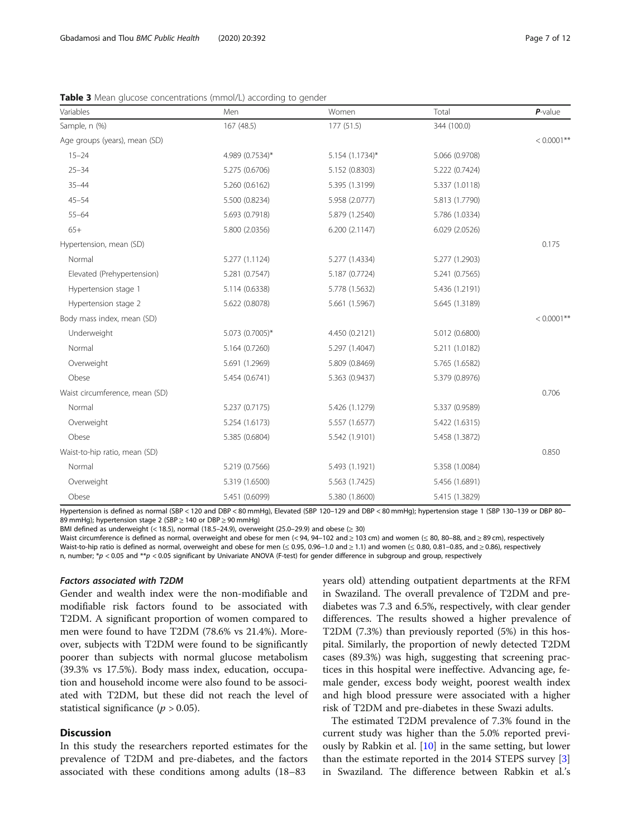| Variables                      | Men             | Women           | Total          | $P$ -value    |
|--------------------------------|-----------------|-----------------|----------------|---------------|
| Sample, n (%)                  | 167 (48.5)      | 177 (51.5)      | 344 (100.0)    |               |
| Age groups (years), mean (SD)  |                 |                 |                | $< 0.0001**$  |
| $15 - 24$                      | 4.989 (0.7534)* | 5.154 (1.1734)* | 5.066 (0.9708) |               |
| $25 - 34$                      | 5.275 (0.6706)  | 5.152 (0.8303)  | 5.222 (0.7424) |               |
| $35 - 44$                      | 5.260 (0.6162)  | 5.395 (1.3199)  | 5.337 (1.0118) |               |
| $45 - 54$                      | 5.500 (0.8234)  | 5.958 (2.0777)  | 5.813 (1.7790) |               |
| $55 - 64$                      | 5.693 (0.7918)  | 5.879 (1.2540)  | 5.786 (1.0334) |               |
| $65+$                          | 5.800 (2.0356)  | 6.200 (2.1147)  | 6.029 (2.0526) |               |
| Hypertension, mean (SD)        |                 |                 |                | 0.175         |
| Normal                         | 5.277 (1.1124)  | 5.277 (1.4334)  | 5.277 (1.2903) |               |
| Elevated (Prehypertension)     | 5.281 (0.7547)  | 5.187 (0.7724)  | 5.241 (0.7565) |               |
| Hypertension stage 1           | 5.114 (0.6338)  | 5.778 (1.5632)  | 5.436 (1.2191) |               |
| Hypertension stage 2           | 5.622 (0.8078)  | 5.661 (1.5967)  | 5.645 (1.3189) |               |
| Body mass index, mean (SD)     |                 |                 |                | $< 0.0001$ ** |
| Underweight                    | 5.073 (0.7005)* | 4.450 (0.2121)  | 5.012 (0.6800) |               |
| Normal                         | 5.164 (0.7260)  | 5.297 (1.4047)  | 5.211 (1.0182) |               |
| Overweight                     | 5.691 (1.2969)  | 5.809 (0.8469)  | 5.765 (1.6582) |               |
| Obese                          | 5.454 (0.6741)  | 5.363 (0.9437)  | 5.379 (0.8976) |               |
| Waist circumference, mean (SD) |                 |                 |                | 0.706         |
| Normal                         | 5.237 (0.7175)  | 5.426 (1.1279)  | 5.337 (0.9589) |               |
| Overweight                     | 5.254 (1.6173)  | 5.557 (1.6577)  | 5.422 (1.6315) |               |
| Obese                          | 5.385 (0.6804)  | 5.542 (1.9101)  | 5.458 (1.3872) |               |
| Waist-to-hip ratio, mean (SD)  |                 |                 |                | 0.850         |
| Normal                         | 5.219 (0.7566)  | 5.493 (1.1921)  | 5.358 (1.0084) |               |
| Overweight                     | 5.319 (1.6500)  | 5.563 (1.7425)  | 5.456 (1.6891) |               |
| Obese                          | 5.451 (0.6099)  | 5.380 (1.8600)  | 5.415 (1.3829) |               |

<span id="page-6-0"></span>Table 3 Mean glucose concentrations (mmol/L) according to gender

Hypertension is defined as normal (SBP < 120 and DBP < 80 mmHg), Elevated (SBP 120–129 and DBP < 80 mmHg); hypertension stage 1 (SBP 130–139 or DBP 80– 89 mmHg); hypertension stage 2 (SBP > 140 or DBP > 90 mmHg)

BMI defined as underweight (< 18.5), normal (18.5–24.9), overweight (25.0–29.9) and obese ( $\geq$  30)

Waist circumference is defined as normal, overweight and obese for men (< 94, 94-102 and ≥ 103 cm) and women (≤ 80, 80-88, and ≥ 89 cm), respectively Waist-to-hip ratio is defined as normal, overweight and obese for men  $\leq 0.95$ , 0.96–1.0 and  $\geq 1.1$ ) and women  $\leq 0.80$ , 0.81–0.85, and  $\geq 0.86$ ), respectively n, number; \*p < 0.05 and \*\*p < 0.05 significant by Univariate ANOVA (F-test) for gender difference in subgroup and group, respectively

#### Factors associated with T2DM

Gender and wealth index were the non-modifiable and modifiable risk factors found to be associated with T2DM. A significant proportion of women compared to men were found to have T2DM (78.6% vs 21.4%). Moreover, subjects with T2DM were found to be significantly poorer than subjects with normal glucose metabolism (39.3% vs 17.5%). Body mass index, education, occupation and household income were also found to be associated with T2DM, but these did not reach the level of statistical significance ( $p > 0.05$ ).

# **Discussion**

In this study the researchers reported estimates for the prevalence of T2DM and pre-diabetes, and the factors associated with these conditions among adults (18–83

years old) attending outpatient departments at the RFM in Swaziland. The overall prevalence of T2DM and prediabetes was 7.3 and 6.5%, respectively, with clear gender differences. The results showed a higher prevalence of T2DM (7.3%) than previously reported (5%) in this hospital. Similarly, the proportion of newly detected T2DM cases (89.3%) was high, suggesting that screening practices in this hospital were ineffective. Advancing age, female gender, excess body weight, poorest wealth index and high blood pressure were associated with a higher risk of T2DM and pre-diabetes in these Swazi adults.

The estimated T2DM prevalence of 7.3% found in the current study was higher than the 5.0% reported previously by Rabkin et al. [\[10](#page-10-0)] in the same setting, but lower than the estimate reported in the 2014 STEPS survey [\[3](#page-10-0)] in Swaziland. The difference between Rabkin et al.'s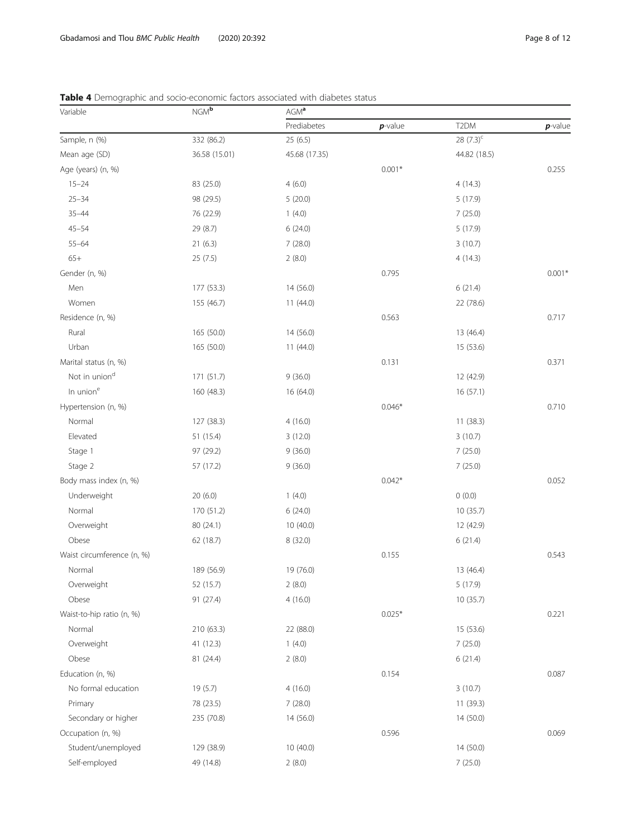| Variable                   | $NGM^b$       | AGM <sup>a</sup> |            |                   |            |  |  |
|----------------------------|---------------|------------------|------------|-------------------|------------|--|--|
|                            |               | Prediabetes      | $p$ -value | T <sub>2</sub> DM | $p$ -value |  |  |
| Sample, n (%)              | 332 (86.2)    | 25(6.5)          |            | 28 $(7.3)^{c}$    |            |  |  |
| Mean age (SD)              | 36.58 (15.01) | 45.68 (17.35)    |            | 44.82 (18.5)      |            |  |  |
| Age (years) (n, %)         |               |                  | $0.001*$   |                   | 0.255      |  |  |
| $15 - 24$                  | 83 (25.0)     | 4(6.0)           |            | 4(14.3)           |            |  |  |
| $25 - 34$                  | 98 (29.5)     | 5(20.0)          |            | 5(17.9)           |            |  |  |
| $35 - 44$                  | 76 (22.9)     | 1(4.0)           |            | 7(25.0)           |            |  |  |
| $45 - 54$                  | 29 (8.7)      | 6(24.0)          |            | 5 (17.9)          |            |  |  |
| $55 - 64$                  | 21(6.3)       | 7(28.0)          |            | 3(10.7)           |            |  |  |
| $65+$                      | 25(7.5)       | 2(8.0)           |            | 4(14.3)           |            |  |  |
| Gender (n, %)              |               |                  | 0.795      |                   | $0.001*$   |  |  |
| Men                        | 177 (53.3)    | 14 (56.0)        |            | 6(21.4)           |            |  |  |
| Women                      | 155 (46.7)    | 11(44.0)         |            | 22 (78.6)         |            |  |  |
| Residence (n, %)           |               |                  | 0.563      |                   | 0.717      |  |  |
| Rural                      | 165 (50.0)    | 14 (56.0)        |            | 13 (46.4)         |            |  |  |
| Urban                      | 165 (50.0)    | 11(44.0)         |            | 15 (53.6)         |            |  |  |
| Marital status (n, %)      |               |                  | 0.131      |                   | 0.371      |  |  |
| Not in union <sup>d</sup>  | 171 (51.7)    | 9(36.0)          |            | 12 (42.9)         |            |  |  |
| In union <sup>e</sup>      | 160 (48.3)    | 16 (64.0)        |            | 16 (57.1)         |            |  |  |
| Hypertension (n, %)        |               |                  | $0.046*$   |                   | 0.710      |  |  |
| Normal                     | 127 (38.3)    | 4(16.0)          |            | 11(38.3)          |            |  |  |
| Elevated                   | 51 (15.4)     | 3(12.0)          |            | 3(10.7)           |            |  |  |
| Stage 1                    | 97 (29.2)     | 9(36.0)          |            | 7(25.0)           |            |  |  |
| Stage 2                    | 57 (17.2)     | 9(36.0)          |            | 7(25.0)           |            |  |  |
| Body mass index (n, %)     |               |                  | $0.042*$   |                   | 0.052      |  |  |
| Underweight                | 20(6.0)       | 1(4.0)           |            | 0(0.0)            |            |  |  |
| Normal                     | 170 (51.2)    | 6(24.0)          |            | 10(35.7)          |            |  |  |
| Overweight                 | 80 (24.1)     | 10 (40.0)        |            | 12 (42.9)         |            |  |  |
| Obese                      | 62 (18.7)     | 8(32.0)          |            | 6(21.4)           |            |  |  |
| Waist circumference (n, %) |               |                  | 0.155      |                   | 0.543      |  |  |
| Normal                     | 189 (56.9)    | 19 (76.0)        |            | 13 (46.4)         |            |  |  |
| Overweight                 | 52 (15.7)     | 2(8.0)           |            | 5 (17.9)          |            |  |  |
| Obese                      | 91 (27.4)     | 4(16.0)          |            | 10 (35.7)         |            |  |  |
| Waist-to-hip ratio (n, %)  |               |                  | $0.025*$   |                   | 0.221      |  |  |
| Normal                     | 210 (63.3)    | 22 (88.0)        |            | 15 (53.6)         |            |  |  |
| Overweight                 | 41 (12.3)     | 1(4.0)           |            | 7(25.0)           |            |  |  |
| Obese                      | 81 (24.4)     | 2(8.0)           |            | 6(21.4)           |            |  |  |
| Education (n, %)           |               |                  | 0.154      |                   | 0.087      |  |  |
| No formal education        | 19 (5.7)      | 4(16.0)          |            | 3(10.7)           |            |  |  |
| Primary                    | 78 (23.5)     | 7(28.0)          |            | 11 (39.3)         |            |  |  |
| Secondary or higher        | 235 (70.8)    | 14 (56.0)        |            | 14 (50.0)         |            |  |  |
| Occupation (n, %)          |               |                  | 0.596      |                   | 0.069      |  |  |
| Student/unemployed         | 129 (38.9)    | 10(40.0)         |            | 14 (50.0)         |            |  |  |
| Self-employed              | 49 (14.8)     | 2(8.0)           |            | 7(25.0)           |            |  |  |

# <span id="page-7-0"></span>Table 4 Demographic and socio-economic factors associated with diabetes status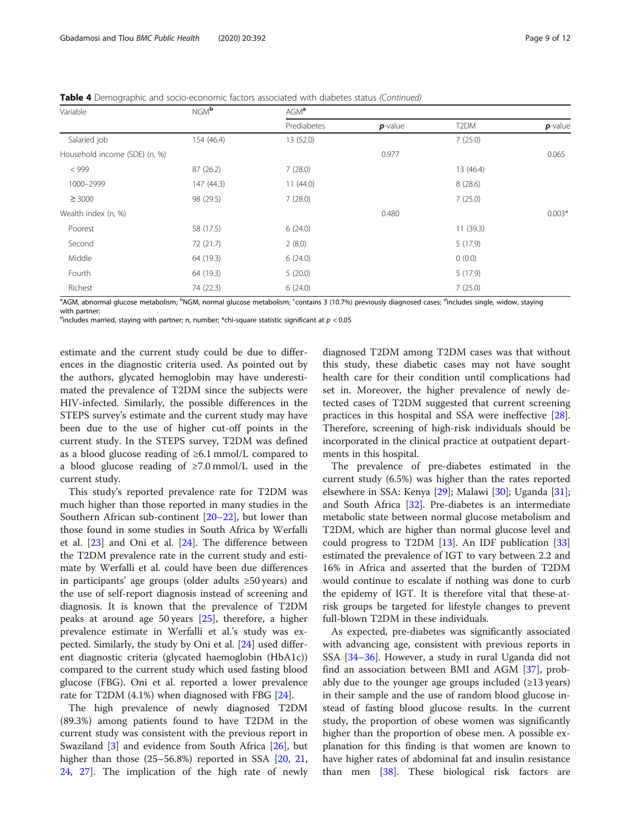| Variable                      | NGM <sup>b</sup> | AGM <sup>a</sup> |            |                   |            |  |  |  |
|-------------------------------|------------------|------------------|------------|-------------------|------------|--|--|--|
|                               |                  | Prediabetes      | $p$ -value | T <sub>2</sub> DM | $p$ -value |  |  |  |
| Salaried job                  | 154 (46.4)       | 13 (52.0)        |            | 7(25.0)           |            |  |  |  |
| Household income (SDE) (n, %) |                  |                  | 0.977      |                   | 0.065      |  |  |  |
| $<$ 999                       | 87 (26.2)        | 7(28.0)          |            | 13 (46.4)         |            |  |  |  |
| 1000-2999                     | 147 (44.3)       | 11(44.0)         |            | 8(28.6)           |            |  |  |  |
| $\geq 3000$                   | 98 (29.5)        | 7(28.0)          |            | 7(25.0)           |            |  |  |  |
| Wealth index (n, %)           |                  |                  | 0.480      |                   | $0.003*$   |  |  |  |
| Poorest                       | 58 (17.5)        | 6(24.0)          |            | 11(39.3)          |            |  |  |  |
| Second                        | 72 (21.7)        | 2(8.0)           |            | 5(17.9)           |            |  |  |  |
| Middle                        | 64 (19.3)        | 6(24.0)          |            | 0(0.0)            |            |  |  |  |
| Fourth                        | 64 (19.3)        | 5(20.0)          |            | 5(17.9)           |            |  |  |  |
| Richest                       | 74 (22.3)        | 6(24.0)          |            | 7(25.0)           |            |  |  |  |
|                               | $\sim$           |                  |            | $\sim$            |            |  |  |  |

<sup>a</sup>AGM, abnormal glucose metabolism; <sup>b</sup>NGM, normal glucose metabolism; <sup>c</sup>contains 3 (10.7%) previously diagnosed cases; <sup>d</sup>includes single, widow, staying with partner;

<sup>e</sup>includes married, staying with partner; n, number; \*chi-square statistic significant at  $p < 0.05$ 

estimate and the current study could be due to differences in the diagnostic criteria used. As pointed out by the authors, glycated hemoglobin may have underestimated the prevalence of T2DM since the subjects were HIV-infected. Similarly, the possible differences in the STEPS survey's estimate and the current study may have been due to the use of higher cut-off points in the current study. In the STEPS survey, T2DM was defined as a blood glucose reading of  $\geq 6.1$  mmol/L compared to a blood glucose reading of  $\geq 7.0$  mmol/L used in the current study.

This study's reported prevalence rate for T2DM was much higher than those reported in many studies in the Southern African sub-continent [[20](#page-10-0)–[22](#page-10-0)], but lower than those found in some studies in South Africa by Werfalli et al. [[23](#page-10-0)] and Oni et al. [[24](#page-10-0)]. The difference between the T2DM prevalence rate in the current study and estimate by Werfalli et al. could have been due differences in participants' age groups (older adults ≥50 years) and the use of self-report diagnosis instead of screening and diagnosis. It is known that the prevalence of T2DM peaks at around age 50 years [[25](#page-10-0)], therefore, a higher prevalence estimate in Werfalli et al.'s study was expected. Similarly, the study by Oni et al. [[24](#page-10-0)] used different diagnostic criteria (glycated haemoglobin (HbA1c)) compared to the current study which used fasting blood glucose (FBG). Oni et al. reported a lower prevalence rate for T2DM  $(4.1\%)$  when diagnosed with FBG  $[24]$  $[24]$ .

The high prevalence of newly diagnosed T2DM (89.3%) among patients found to have T2DM in the current study was consistent with the previous report in Swaziland [\[3](#page-10-0)] and evidence from South Africa [[26\]](#page-10-0), but higher than those (25–56.8%) reported in SSA [\[20](#page-10-0), [21](#page-10-0), [24,](#page-10-0) [27\]](#page-10-0). The implication of the high rate of newly

diagnosed T2DM among T2DM cases was that without this study, these diabetic cases may not have sought health care for their condition until complications had set in. Moreover, the higher prevalence of newly detected cases of T2DM suggested that current screening practices in this hospital and SSA were ineffective [\[28](#page-10-0)]. Therefore, screening of high-risk individuals should be incorporated in the clinical practice at outpatient departments in this hospital.

The prevalence of pre-diabetes estimated in the current study (6.5%) was higher than the rates reported elsewhere in SSA: Kenya [[29\]](#page-10-0); Malawi [\[30](#page-10-0)]; Uganda [\[31](#page-10-0)]; and South Africa [\[32\]](#page-10-0). Pre-diabetes is an intermediate metabolic state between normal glucose metabolism and T2DM, which are higher than normal glucose level and could progress to T2DM [\[13](#page-10-0)]. An IDF publication [[33](#page-10-0)] estimated the prevalence of IGT to vary between 2.2 and 16% in Africa and asserted that the burden of T2DM would continue to escalate if nothing was done to curb the epidemy of IGT. It is therefore vital that these-atrisk groups be targeted for lifestyle changes to prevent full-blown T2DM in these individuals.

As expected, pre-diabetes was significantly associated with advancing age, consistent with previous reports in SSA [\[34](#page-10-0)–[36](#page-10-0)]. However, a study in rural Uganda did not find an association between BMI and AGM [[37\]](#page-11-0), probably due to the younger age groups included  $(\geq 13 \text{ years})$ in their sample and the use of random blood glucose instead of fasting blood glucose results. In the current study, the proportion of obese women was significantly higher than the proportion of obese men. A possible explanation for this finding is that women are known to have higher rates of abdominal fat and insulin resistance than men [[38](#page-11-0)]. These biological risk factors are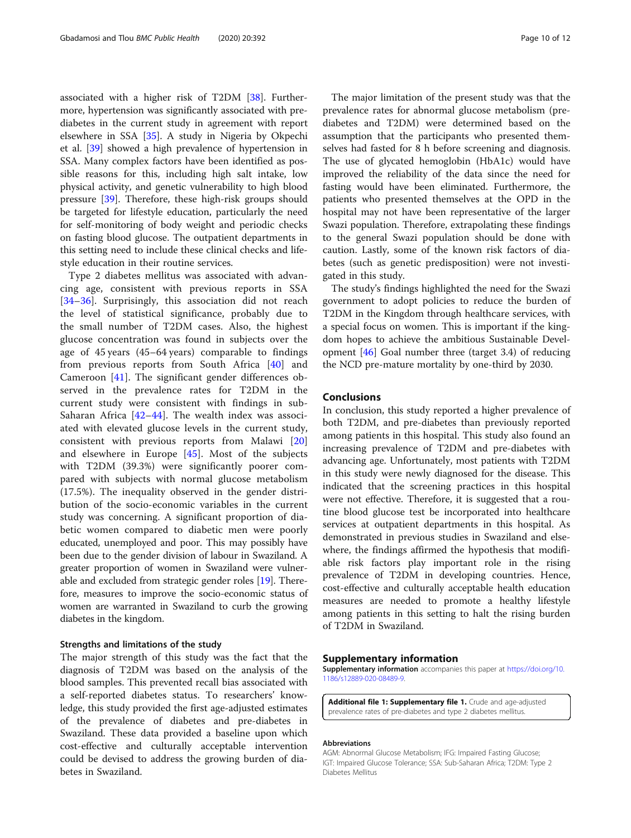<span id="page-9-0"></span>associated with a higher risk of T2DM [[38\]](#page-11-0). Furthermore, hypertension was significantly associated with prediabetes in the current study in agreement with report elsewhere in SSA [\[35\]](#page-10-0). A study in Nigeria by Okpechi et al. [[39](#page-11-0)] showed a high prevalence of hypertension in SSA. Many complex factors have been identified as possible reasons for this, including high salt intake, low physical activity, and genetic vulnerability to high blood pressure [\[39](#page-11-0)]. Therefore, these high-risk groups should be targeted for lifestyle education, particularly the need for self-monitoring of body weight and periodic checks on fasting blood glucose. The outpatient departments in this setting need to include these clinical checks and lifestyle education in their routine services.

Type 2 diabetes mellitus was associated with advancing age, consistent with previous reports in SSA [[34](#page-10-0)–[36\]](#page-10-0). Surprisingly, this association did not reach the level of statistical significance, probably due to the small number of T2DM cases. Also, the highest glucose concentration was found in subjects over the age of 45 years (45–64 years) comparable to findings from previous reports from South Africa [\[40](#page-11-0)] and Cameroon [[41\]](#page-11-0). The significant gender differences observed in the prevalence rates for T2DM in the current study were consistent with findings in sub-Saharan Africa  $[42-44]$  $[42-44]$  $[42-44]$  $[42-44]$ . The wealth index was associated with elevated glucose levels in the current study, consistent with previous reports from Malawi [\[20](#page-10-0)] and elsewhere in Europe [\[45](#page-11-0)]. Most of the subjects with T2DM (39.3%) were significantly poorer compared with subjects with normal glucose metabolism (17.5%). The inequality observed in the gender distribution of the socio-economic variables in the current study was concerning. A significant proportion of diabetic women compared to diabetic men were poorly educated, unemployed and poor. This may possibly have been due to the gender division of labour in Swaziland. A greater proportion of women in Swaziland were vulnerable and excluded from strategic gender roles [\[19](#page-10-0)]. Therefore, measures to improve the socio-economic status of women are warranted in Swaziland to curb the growing diabetes in the kingdom.

#### Strengths and limitations of the study

The major strength of this study was the fact that the diagnosis of T2DM was based on the analysis of the blood samples. This prevented recall bias associated with a self-reported diabetes status. To researchers' knowledge, this study provided the first age-adjusted estimates of the prevalence of diabetes and pre-diabetes in Swaziland. These data provided a baseline upon which cost-effective and culturally acceptable intervention could be devised to address the growing burden of diabetes in Swaziland.

The major limitation of the present study was that the prevalence rates for abnormal glucose metabolism (prediabetes and T2DM) were determined based on the assumption that the participants who presented themselves had fasted for 8 h before screening and diagnosis. The use of glycated hemoglobin (HbA1c) would have improved the reliability of the data since the need for fasting would have been eliminated. Furthermore, the patients who presented themselves at the OPD in the hospital may not have been representative of the larger Swazi population. Therefore, extrapolating these findings to the general Swazi population should be done with caution. Lastly, some of the known risk factors of diabetes (such as genetic predisposition) were not investigated in this study.

The study's findings highlighted the need for the Swazi government to adopt policies to reduce the burden of T2DM in the Kingdom through healthcare services, with a special focus on women. This is important if the kingdom hopes to achieve the ambitious Sustainable Development [[46\]](#page-11-0) Goal number three (target 3.4) of reducing the NCD pre-mature mortality by one-third by 2030.

# Conclusions

In conclusion, this study reported a higher prevalence of both T2DM, and pre-diabetes than previously reported among patients in this hospital. This study also found an increasing prevalence of T2DM and pre-diabetes with advancing age. Unfortunately, most patients with T2DM in this study were newly diagnosed for the disease. This indicated that the screening practices in this hospital were not effective. Therefore, it is suggested that a routine blood glucose test be incorporated into healthcare services at outpatient departments in this hospital. As demonstrated in previous studies in Swaziland and elsewhere, the findings affirmed the hypothesis that modifiable risk factors play important role in the rising prevalence of T2DM in developing countries. Hence, cost-effective and culturally acceptable health education measures are needed to promote a healthy lifestyle among patients in this setting to halt the rising burden of T2DM in Swaziland.

#### Supplementary information

Supplementary information accompanies this paper at [https://doi.org/10.](https://doi.org/10.1186/s12889-020-08489-9) [1186/s12889-020-08489-9](https://doi.org/10.1186/s12889-020-08489-9).

Additional file 1: Supplementary file 1. Crude and age-adjusted prevalence rates of pre-diabetes and type 2 diabetes mellitus.

#### Abbreviations

AGM: Abnormal Glucose Metabolism; IFG: Impaired Fasting Glucose; IGT: Impaired Glucose Tolerance; SSA: Sub-Saharan Africa; T2DM: Type 2 Diabetes Mellitus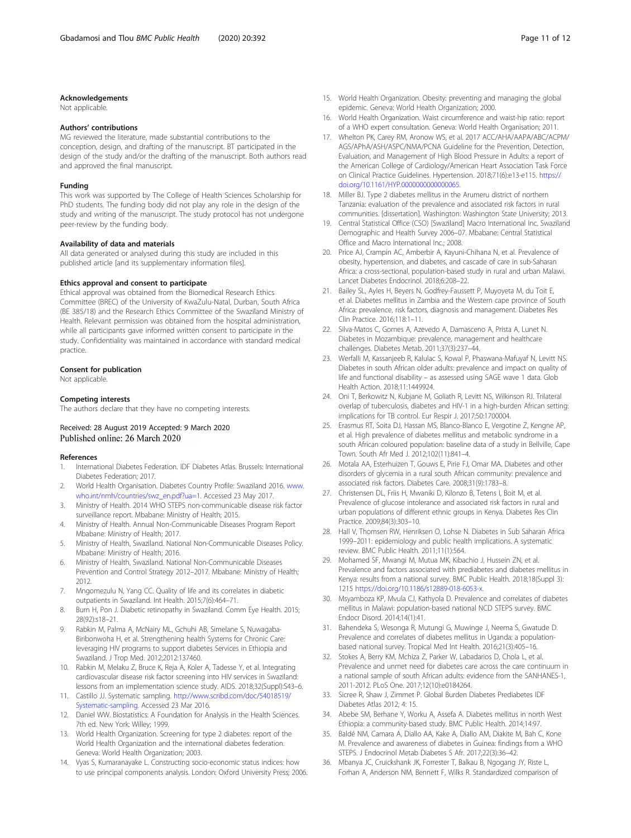#### <span id="page-10-0"></span>Acknowledgements

Not applicable.

#### Authors' contributions

MG reviewed the literature, made substantial contributions to the conception, design, and drafting of the manuscript. BT participated in the design of the study and/or the drafting of the manuscript. Both authors read and approved the final manuscript.

#### Funding

This work was supported by The College of Health Sciences Scholarship for PhD students. The funding body did not play any role in the design of the study and writing of the manuscript. The study protocol has not undergone peer-review by the funding body.

#### Availability of data and materials

All data generated or analysed during this study are included in this published article [and its supplementary information files].

#### Ethics approval and consent to participate

Ethical approval was obtained from the Biomedical Research Ethics Committee (BREC) of the University of KwaZulu-Natal, Durban, South Africa (BE 385/18) and the Research Ethics Committee of the Swaziland Ministry of Health. Relevant permission was obtained from the hospital administration, while all participants gave informed written consent to participate in the study. Confidentiality was maintained in accordance with standard medical practice.

#### Consent for publication

Not applicable.

#### Competing interests

The authors declare that they have no competing interests.

## Received: 28 August 2019 Accepted: 9 March 2020 Published online: 26 March 2020

#### References

- 1. International Diabetes Federation. IDF Diabetes Atlas. Brussels: International Diabetes Federation; 2017.
- 2. World Health Organisation. Diabetes Country Profile: Swaziland 2016. [www.](http://www.who.int/nmh/countries/swz_en.pdf?ua=1) [who.int/nmh/countries/swz\\_en.pdf?ua=1](http://www.who.int/nmh/countries/swz_en.pdf?ua=1). Accessed 23 May 2017.
- 3. Ministry of Health. 2014 WHO STEPS non-communicable disease risk factor surveillance report. Mbabane: Ministry of Health; 2015.
- 4. Ministry of Health. Annual Non-Communicable Diseases Program Report Mbabane: Ministry of Health; 2017.
- 5. Ministry of Health, Swaziland. National Non-Communicable Diseases Policy. Mbabane: Ministry of Health; 2016.
- 6. Ministry of Health, Swaziland. National Non-Communicable Diseases Prevention and Control Strategy 2012–2017. Mbabane: Ministry of Health; 2012.
- 7. Mngomezulu N, Yang CC. Quality of life and its correlates in diabetic outpatients in Swaziland. Int Health. 2015;7(6):464–71.
- 8. Burn H, Pon J. Diabetic retinopathy in Swaziland. Comm Eye Health. 2015; 28(92):s18–21.
- 9. Rabkin M, Palma A, McNairy ML, Gchuhi AB, Simelane S, Nuwagaba-Biribonwoha H, et al. Strengthening health Systems for Chronic Care: leveraging HIV programs to support diabetes Services in Ethiopia and Swaziland. J Trop Med. 2012;2012:137460.
- 10. Rabkin M, Melaku Z, Bruce K, Reja A, Koler A, Tadesse Y, et al. Integrating cardiovascular disease risk factor screening into HIV services in Swaziland: lessons from an implementation science study. AIDS. 2018;32(Suppl):S43–6.
- 11. Castillo JJ. Systematic sampling. [http://www.scribd.com/doc/54018519/](http://www.scribd.com/doc/54018519/Systematic-sampling) [Systematic-sampling](http://www.scribd.com/doc/54018519/Systematic-sampling). Accessed 23 Mar 2016.
- 12. Daniel WW. Biostatistics: A Foundation for Analysis in the Health Sciences. 7th ed. New York: Willey; 1999.
- 13. World Health Organization. Screening for type 2 diabetes: report of the World Health Organization and the international diabetes federation. Geneva: World Health Organization; 2003.
- 14. Vyas S, Kumaranayake L. Constructing socio-economic status indices: how to use principal components analysis. London: Oxford University Press; 2006.
- 15. World Health Organization. Obesity: preventing and managing the global epidemic. Geneva: World Health Organization; 2000.
- 16. World Health Organization. Waist circumference and waist-hip ratio: report of a WHO expert consultation. Geneva: World Health Organisation; 2011.
- 17. Whelton PK, Carey RM, Aronow WS, et al. 2017 ACC/AHA/AAPA/ABC/ACPM/ AGS/APhA/ASH/ASPC/NMA/PCNA Guideline for the Prevention, Detection, Evaluation, and Management of High Blood Pressure in Adults: a report of the American College of Cardiology/American Heart Association Task Force on Clinical Practice Guidelines. Hypertension. 2018;71(6):e13-e115. [https://](https://doi.org/10.1161/HYP.0000000000000065) [doi.org/10.1161/HYP.0000000000000065.](https://doi.org/10.1161/HYP.0000000000000065)
- 18. Miller BJ. Type 2 diabetes mellitus in the Arumeru district of northern Tanzania: evaluation of the prevalence and associated risk factors in rural communities. [dissertation]. Washington: Washington State University; 2013.
- 19. Central Statistical Office (CSO) [Swaziland] Macro International Inc. Swaziland Demographic and Health Survey 2006–07. Mbabane: Central Statistical Office and Macro International Inc.; 2008.
- 20. Price AJ, Crampin AC, Amberbir A, Kayuni-Chihana N, et al. Prevalence of obesity, hypertension, and diabetes, and cascade of care in sub-Saharan Africa: a cross-sectional, population-based study in rural and urban Malawi. Lancet Diabetes Endocrinol. 2018;6:208–22.
- 21. Bailey SL, Ayles H, Beyers N, Godfrey-Faussett P, Muyoyeta M, du Toit E, et al. Diabetes mellitus in Zambia and the Western cape province of South Africa: prevalence, risk factors, diagnosis and management. Diabetes Res Clin Practice. 2016;118:1–11.
- 22. Silva-Matos C, Gomes A, Azevedo A, Damasceno A, Prista A, Lunet N. Diabetes in Mozambique: prevalence, management and healthcare challenges. Diabetes Metab. 2011;37(3):237–44.
- 23. Werfalli M, Kassanjeeb R, Kalulac S, Kowal P, Phaswana-Mafuyaf N, Levitt NS. Diabetes in south African older adults: prevalence and impact on quality of life and functional disability – as assessed using SAGE wave 1 data. Glob Health Action. 2018;11:1449924.
- 24. Oni T, Berkowitz N, Kubjane M, Goliath R, Levitt NS, Wilkinson RJ. Trilateral overlap of tuberculosis, diabetes and HIV-1 in a high-burden African setting: implications for TB control. Eur Respir J. 2017;50:1700004.
- 25. Erasmus RT, Soita DJ, Hassan MS, Blanco-Blanco E, Vergotine Z, Kengne AP, et al. High prevalence of diabetes mellitus and metabolic syndrome in a south African coloured population: baseline data of a study in Bellville, Cape Town. South Afr Med J. 2012;102(11):841–4.
- 26. Motala AA, Esterhuizen T, Gouws E, Pirie FJ, Omar MA. Diabetes and other disorders of glycemia in a rural south African community: prevalence and associated risk factors. Diabetes Care. 2008;31(9):1783–8.
- 27. Christensen DL, Friis H, Mwaniki D, Kilonzo B, Tetens I, Boit M, et al. Prevalence of glucose intolerance and associated risk factors in rural and urban populations of different ethnic groups in Kenya. Diabetes Res Clin Practice. 2009;84(3):303–10.
- 28. Hall V, Thomsen RW, Henriksen O, Lohse N. Diabetes in Sub Saharan Africa 1999–2011: epidemiology and public health implications. A systematic review. BMC Public Health. 2011;11(1):564.
- 29. Mohamed SF, Mwangi M, Mutua MK, Kibachio J, Hussein ZN, et al. Prevalence and factors associated with prediabetes and diabetes mellitus in Kenya: results from a national survey. BMC Public Health. 2018;18(Suppl 3): 1215 [https://doi.org/10.1186/s12889-018-6053-x.](https://doi.org/10.1186/s12889-018-6053-x)
- 30. Msyamboza KP, Mvula CJ, Kathyola D. Prevalence and correlates of diabetes mellitus in Malawi: population-based national NCD STEPS survey. BMC Endocr Disord. 2014;14(1):41.
- 31. Bahendeka S, Wesonga R, Mutungi G, Muwinge J, Neema S, Gwatude D. Prevalence and correlates of diabetes mellitus in Uganda: a populationbased national survey. Tropical Med Int Health. 2016;21(3):405–16.
- 32. Stokes A, Berry KM, Mchiza Z, Parker W, Labadarios D, Chola L, et al. Prevalence and unmet need for diabetes care across the care continuum in a national sample of south African adults: evidence from the SANHANES-1, 2011-2012. PLoS One. 2017;12(10):e0184264.
- 33. Sicree R, Shaw J, Zimmet P. Global Burden Diabetes Prediabetes IDF Diabetes Atlas 2012; 4: 15.
- 34. Abebe SM, Berhane Y, Worku A, Assefa A. Diabetes mellitus in north West Ethiopia: a community-based study. BMC Public Health. 2014;14:97.
- 35. Baldé NM, Camara A, Diallo AA, Kake A, Diallo AM, Diakite M, Bah C, Kone M. Prevalence and awareness of diabetes in Guinea: findings from a WHO STEPS. J Endocrinol Metab Diabetes S Afr. 2017;22(3):36–42.
- 36. Mbanya JC, Cruickshank JK, Forrester T, Balkau B, Ngogang JY, Riste L, Forhan A, Anderson NM, Bennett F, Wilks R. Standardized comparison of